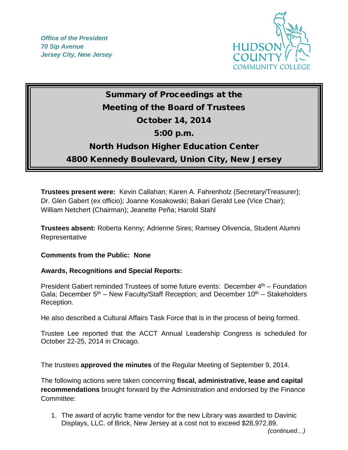*Office of the President 70 Sip Avenue Jersey City, New Jersey*



## Summary of Proceedings at the Meeting of the Board of Trustees October 14, 2014 5:00 p.m. North Hudson Higher Education Center 4800 Kennedy Boulevard, Union City, New Jersey

**Trustees present were:** Kevin Callahan; Karen A. Fahrenholz (Secretary/Treasurer); Dr. Glen Gabert (ex officio); Joanne Kosakowski; Bakari Gerald Lee (Vice Chair); William Netchert (Chairman); Jeanette Peña; Harold Stahl

**Trustees absent:** Roberta Kenny; Adrienne Sires; Ramsey Olivencia, Student Alumni Representative

## **Comments from the Public: None**

## **Awards, Recognitions and Special Reports:**

President Gabert reminded Trustees of some future events: December  $4<sup>th</sup>$  – Foundation Gala; December  $5<sup>th</sup>$  – New Faculty/Staff Reception; and December 10<sup>th</sup> – Stakeholders Reception.

He also described a Cultural Affairs Task Force that is in the process of being formed.

Trustee Lee reported that the ACCT Annual Leadership Congress is scheduled for October 22-25, 2014 in Chicago.

The trustees **approved the minutes** of the Regular Meeting of September 9, 2014.

The following actions were taken concerning **fiscal, administrative, lease and capital recommendations** brought forward by the Administration and endorsed by the Finance Committee:

1. The award of acrylic frame vendor for the new Library was awarded to Davinic Displays, LLC. of Brick, New Jersey at a cost not to exceed \$28,972.89.

 *(continued…)*